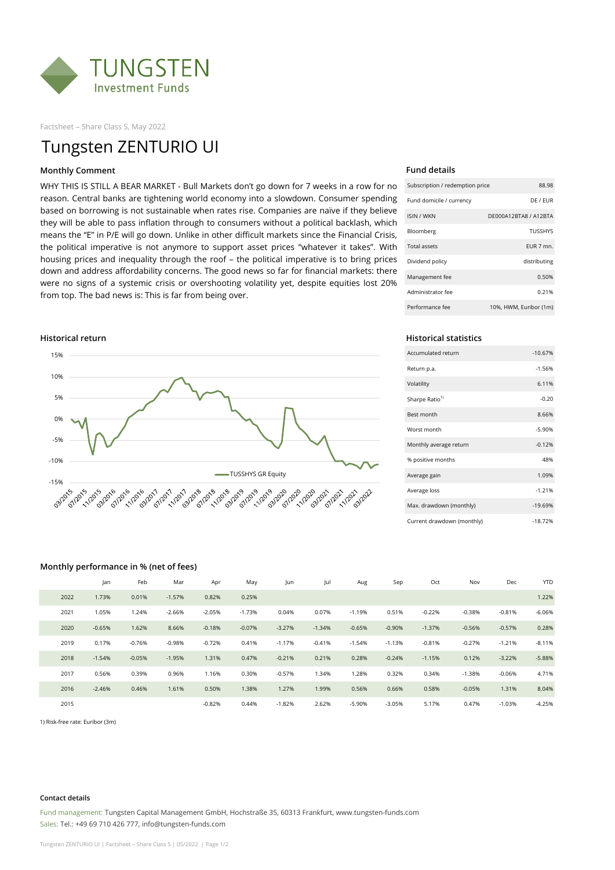

Factsheet – Share Class S, May 2022

# Tungsten ZENTURIO UI

### **Monthly Comment**

WHY THIS IS STILL A BEAR MARKET - Bull Markets don't go down for 7 weeks in a row for no reason. Central banks are tightening world economy into a slowdown. Consumer spending based on borrowing is not sustainable when rates rise. Companies are naïve if they believe they will be able to pass inflation through to consumers without a political backlash, which means the "E" in P/E will go down. Unlike in other difficult markets since the Financial Crisis, the political imperative is not anymore to support asset prices "whatever it takes". With housing prices and inequality through the roof – the political imperative is to bring prices down and address affordability concerns. The good news so far for financial markets: there were no signs of a systemic crisis or overshooting volatility yet, despite equities lost 20% from top. The bad news is: This is far from being over.



### **Fund details**

| Subscription / redemption price | 88.98                  |
|---------------------------------|------------------------|
| Fund domicile / currency        | DE / FUR               |
| <b>ISIN / WKN</b>               | DE000A12BTA8 / A12BTA  |
| Bloomberg                       | <b>TUSSHYS</b>         |
| <b>Total assets</b>             | FUR 7 mn.              |
| Dividend policy                 | distributing           |
| Management fee                  | 0.50%                  |
| Administrator fee               | 0.21%                  |
| Performance fee                 | 10%, HWM, Euribor (1m) |

### **Historical return Historical statistics**

| Accumulated return         | $-10.67%$ |
|----------------------------|-----------|
| Return p.a.                | $-1.56%$  |
| Volatility                 | 6.11%     |
| Sharpe Ratio <sup>1)</sup> | $-0.20$   |
| <b>Best month</b>          | 8.66%     |
| Worst month                | $-5.90%$  |
| Monthly average return     | $-0.12%$  |
| % positive months          | 48%       |
| Average gain               | 1.09%     |
| Average loss               | $-1.21%$  |
| Max. drawdown (monthly)    | $-19.69%$ |
| Current drawdown (monthly) | $-18.72%$ |

### **Monthly performance in % (net of fees)**

|      | Jan      | Feb      | Mar      | Apr      | May      | Jun      | Jul      | Aug      | Sep      | Oct      | Nov      | Dec      | <b>YTD</b> |
|------|----------|----------|----------|----------|----------|----------|----------|----------|----------|----------|----------|----------|------------|
| 2022 | 1.73%    | 0.01%    | $-1.57%$ | 0.82%    | 0.25%    |          |          |          |          |          |          |          | 1.22%      |
| 2021 | 1.05%    | 1.24%    | $-2.66%$ | $-2.05%$ | $-1.73%$ | 0.04%    | 0.07%    | $-1.19%$ | 0.51%    | $-0.22%$ | $-0.38%$ | $-0.81%$ | $-6.06%$   |
| 2020 | $-0.65%$ | 1.62%    | 8.66%    | $-0.18%$ | $-0.07%$ | $-3.27%$ | $-1.34%$ | $-0.65%$ | $-0.90%$ | $-1.37%$ | $-0.56%$ | $-0.57%$ | 0.28%      |
| 2019 | 0.17%    | $-0.76%$ | $-0.98%$ | $-0.72%$ | 0.41%    | $-1.17%$ | $-0.41%$ | $-1.54%$ | $-1.13%$ | $-0.81%$ | $-0.27%$ | $-1.21%$ | $-8.11%$   |
| 2018 | $-1.54%$ | $-0.05%$ | $-1.95%$ | 1.31%    | 0.47%    | $-0.21%$ | 0.21%    | 0.28%    | $-0.24%$ | $-1.15%$ | 0.12%    | $-3.22%$ | $-5.88%$   |
| 2017 | 0.56%    | 0.39%    | 0.96%    | 1.16%    | 0.30%    | $-0.57%$ | 1.34%    | 1.28%    | 0.32%    | 0.34%    | $-1.38%$ | $-0.06%$ | 4.71%      |
| 2016 | $-2.46%$ | 0.46%    | 1.61%    | 0.50%    | 1.38%    | 1.27%    | 1.99%    | 0.56%    | 0.66%    | 0.58%    | $-0.05%$ | 1.31%    | 8.04%      |
| 2015 |          |          |          | $-0.82%$ | 0.44%    | $-1.82%$ | 2.62%    | $-5.90%$ | $-3.05%$ | 5.17%    | 0.47%    | $-1.03%$ | $-4.25%$   |

1) Risk-free rate: Euribor (3m)

### **Contact details**

Fund management: Tungsten Capital Management GmbH, Hochstraße 35, 60313 Frankfurt, www.tungsten-funds.com Sales: Tel.: +49 69 710 426 777, info@tungsten-funds.com